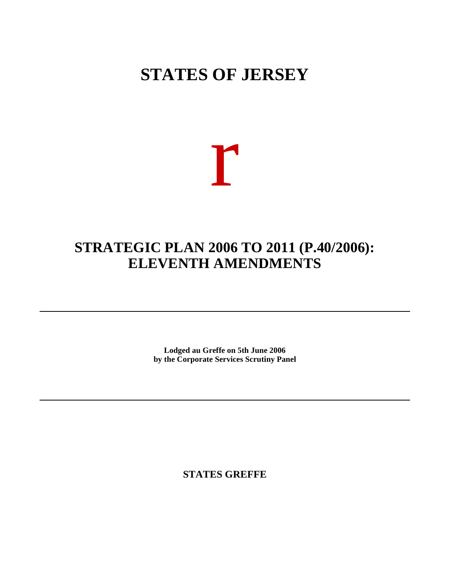# **STATES OF JERSEY**



# **STRATEGIC PLAN 2006 TO 2011 (P.40/2006): ELEVENTH AMENDMENTS**

**Lodged au Greffe on 5th June 2006 by the Corporate Services Scrutiny Panel**

**STATES GREFFE**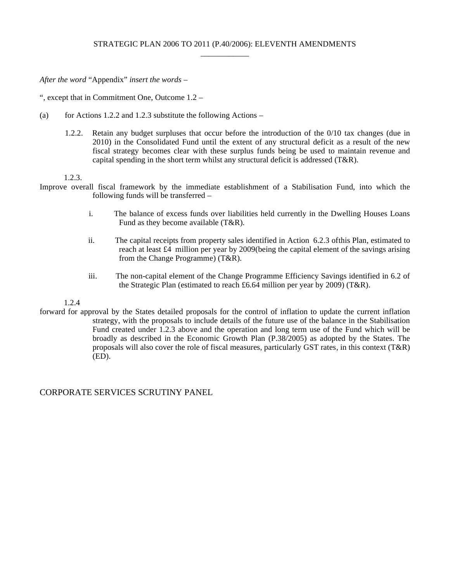*After the word* "Appendix" *insert the words –*

", except that in Commitment One, Outcome 1.2 –

- (a) for Actions 1.2.2 and 1.2.3 substitute the following Actions
	- 1.2.2. Retain any budget surpluses that occur before the introduction of the 0/10 tax changes (due in 2010) in the Consolidated Fund until the extent of any structural deficit as a result of the new fiscal strategy becomes clear with these surplus funds being be used to maintain revenue and capital spending in the short term whilst any structural deficit is addressed (T&R).

1.2.3.

- Improve overall fiscal framework by the immediate establishment of a Stabilisation Fund, into which the following funds will be transferred –
	- i. The balance of excess funds over liabilities held currently in the Dwelling Houses Loans Fund as they become available (T&R).
	- ii. The capital receipts from property sales identified in Action 6.2.3 ofthis Plan, estimated to reach at least £4 million per year by 2009 (being the capital element of the savings arising from the Change Programme) (T&R).
	- iii. The non-capital element of the Change Programme Efficiency Savings identified in 6.2 of the Strategic Plan (estimated to reach £6.64 million per year by 2009) (T&R).

1.2.4

forward for approval by the States detailed proposals for the control of inflation to update the current inflation strategy, with the proposals to include details of the future use of the balance in the Stabilisation Fund created under 1.2.3 above and the operation and long term use of the Fund which will be broadly as described in the Economic Growth Plan (P.38/2005) as adopted by the States. The proposals will also cover the role of fiscal measures, particularly GST rates, in this context (T&R) (ED).

# CORPORATE SERVICES SCRUTINY PANEL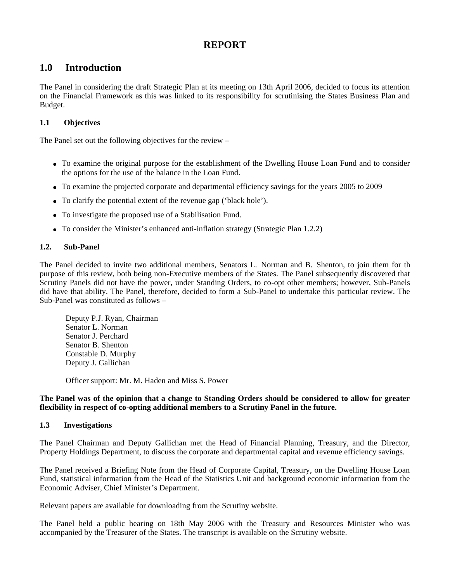# **REPORT**

# **1.0 Introduction**

The Panel in considering the draft Strategic Plan at its meeting on 13th April 2006, decided to focus its attention on the Financial Framework as this was linked to its responsibility for scrutinising the States Business Plan and Budget.

# **1.1 Objectives**

The Panel set out the following objectives for the review –

- To examine the original purpose for the establishment of the Dwelling House Loan Fund and to consider the options for the use of the balance in the Loan Fund.
- To examine the projected corporate and departmental efficiency savings for the years 2005 to 2009
- To clarify the potential extent of the revenue gap ('black hole').
- To investigate the proposed use of a Stabilisation Fund.
- To consider the Minister's enhanced anti-inflation strategy (Strategic Plan 1.2.2)

## **1.2. Sub-Panel**

The Panel decided to invite two additional members, Senators L. Norman and B. Shenton, to join them for them purpose of this review, both being non-Executive members of the States. The Panel subsequently discovered that Scrutiny Panels did not have the power, under Standing Orders, to co-opt other members; however, Sub-Panels did have that ability. The Panel, therefore, decided to form a Sub-Panel to undertake this particular review. The Sub-Panel was constituted as follows –

Deputy P.J. Ryan, Chairman Senator L. Norman Senator J. Perchard Senator B. Shenton Constable D. Murphy Deputy J. Gallichan

Officer support: Mr. M. Haden and Miss S. Power

#### **The Panel was of the opinion that a change to Standing Orders should be considered to allow for greater flexibility in respect of co-opting additional members to a Scrutiny Panel in the future.**

## **1.3 Investigations**

The Panel Chairman and Deputy Gallichan met the Head of Financial Planning, Treasury, and the Director, Property Holdings Department, to discuss the corporate and departmental capital and revenue efficiency savings.

The Panel received a Briefing Note from the Head of Corporate Capital, Treasury, on the Dwelling House Loan Fund, statistical information from the Head of the Statistics Unit and background economic information from the Economic Adviser, Chief Minister's Department.

Relevant papers are available for downloading from the Scrutiny website.

The Panel held a public hearing on 18th May 2006 with the Treasury and Resources Minister who was accompanied by the Treasurer of the States. The transcript is available on the Scrutiny website.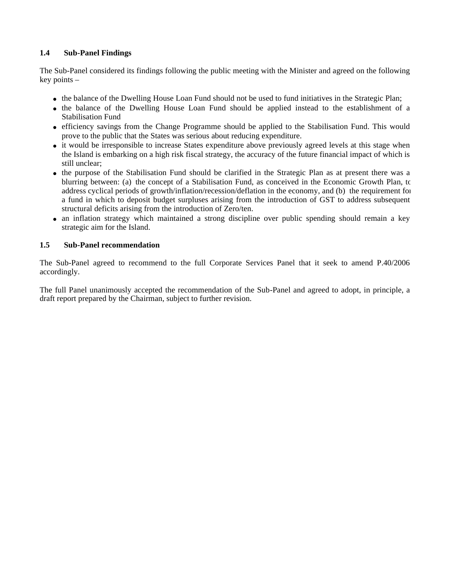# **1.4 Sub-Panel Findings**

The Sub-Panel considered its findings following the public meeting with the Minister and agreed on the following key points –

- the balance of the Dwelling House Loan Fund should not be used to fund initiatives in the Strategic Plan;
- the balance of the Dwelling House Loan Fund should be applied instead to the establishment of a Stabilisation Fund
- efficiency savings from the Change Programme should be applied to the Stabilisation Fund. This would prove to the public that the States was serious about reducing expenditure.
- it would be irresponsible to increase States expenditure above previously agreed levels at this stage when the Island is embarking on a high risk fiscal strategy, the accuracy of the future financial impact of which is still unclear;
- the purpose of the Stabilisation Fund should be clarified in the Strategic Plan as at present there was a blurring between: (a) the concept of a Stabilisation Fund, as conceived in the Economic Growth Plan, to address cyclical periods of growth/inflation/recession/deflation in the economy, and (b) the requirement for a fund in which to deposit budget surpluses arising from the introduction of GST to address subsequent structural deficits arising from the introduction of Zero/ten.
- an inflation strategy which maintained a strong discipline over public spending should remain a key strategic aim for the Island.

## **1.5 Sub-Panel recommendation**

The Sub-Panel agreed to recommend to the full Corporate Services Panel that it seek to amend P.40/2006 accordingly.

The full Panel unanimously accepted the recommendation of the Sub-Panel and agreed to adopt, in principle, a draft report prepared by the Chairman, subject to further revision.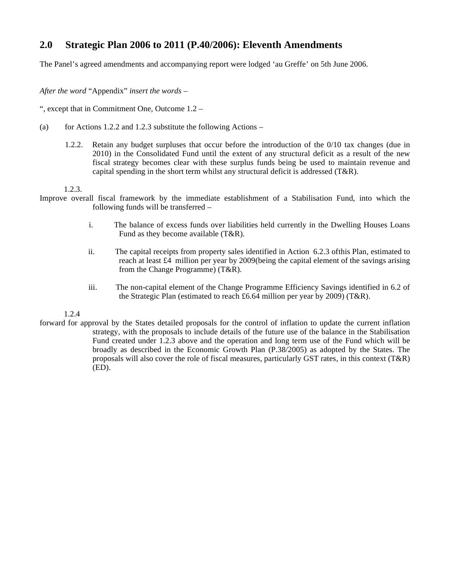# **2.0 Strategic Plan 2006 to 2011 (P.40/2006): Eleventh Amendments**

The Panel's agreed amendments and accompanying report were lodged 'au Greffe' on 5th June 2006.

*After the word* "Appendix" *insert the words –*

", except that in Commitment One, Outcome 1.2 –

- (a) for Actions 1.2.2 and 1.2.3 substitute the following Actions
	- 1.2.2. Retain any budget surpluses that occur before the introduction of the 0/10 tax changes (due in 2010) in the Consolidated Fund until the extent of any structural deficit as a result of the new fiscal strategy becomes clear with these surplus funds being be used to maintain revenue and capital spending in the short term whilst any structural deficit is addressed (T&R).

1.2.3.

- Improve overall fiscal framework by the immediate establishment of a Stabilisation Fund, into which the following funds will be transferred –
	- i. The balance of excess funds over liabilities held currently in the Dwelling Houses Loans Fund as they become available (T&R).
	- ii. The capital receipts from property sales identified in Action 6.2.3 ofthis Plan, estimated to reach at least £4 million per year by 2009 (being the capital element of the savings arising from the Change Programme) (T&R).
	- iii. The non-capital element of the Change Programme Efficiency Savings identified in 6.2 of the Strategic Plan (estimated to reach £6.64 million per year by 2009) (T&R).

1.2.4

forward for approval by the States detailed proposals for the control of inflation to update the current inflation strategy, with the proposals to include details of the future use of the balance in the Stabilisation Fund created under 1.2.3 above and the operation and long term use of the Fund which will be broadly as described in the Economic Growth Plan (P.38/2005) as adopted by the States. The proposals will also cover the role of fiscal measures, particularly GST rates, in this context (T&R) (ED).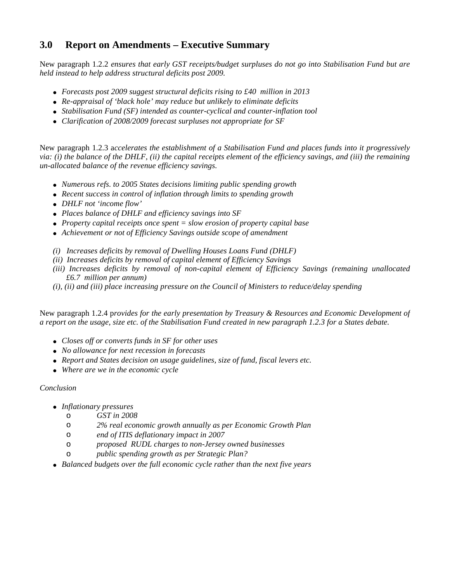# **3.0 Report on Amendments – Executive Summary**

New paragraph 1.2.2 *ensures that early GST receipts/budget surpluses do not go into Stabilisation Fund but are held instead to help address structural deficits post 2009.*

- *Forecasts post 2009 suggest structural deficits rising to £40 million in 2013*
- *Re-appraisal of 'black hole' may reduce but unlikely to eliminate deficits*
- *Stabilisation Fund (SF) intended as counter-cyclical and counter-inflation tool*
- *Clarification of 2008/2009 forecast surpluses not appropriate for SF*

New paragraph 1.2.3 a*ccelerates the establishment of a Stabilisation Fund and places funds into it progressively via: (i) the balance of the DHLF, (ii) the capital receipts element of the efficiency savings, and (iii) the remaining un-allocated balance of the revenue efficiency savings.*

- *Numerous refs. to 2005 States decisions limiting public spending growth*
- *Recent success in control of inflation through limits to spending growth*
- *DHLF not 'income flow'*
- *Places balance of DHLF and efficiency savings into SF*
- *Property capital receipts once spent = slow erosion of property capital base*
- *Achievement or not of Efficiency Savings outside scope of amendment*
- *(i) Increases deficits by removal of Dwelling Houses Loans Fund (DHLF)*
- *(ii) Increases deficits by removal of capital element of Efficiency Savings*
- *(iii) Increases deficits by removal of non-capital element of Efficiency Savings (remaining unallocated £6.7 million per annum)*
- *(i), (ii) and (iii) place increasing pressure on the Council of Ministers to reduce/delay spending*

New paragraph 1.2.4 p*rovides for the early presentation by Treasury & Resources and Economic Development of a report on the usage, size etc. of the Stabilisation Fund created in new paragraph 1.2.3 for a States debate.*

- *Closes off or converts funds in SF for other uses*
- *No allowance for next recession in forecasts*
- *Report and States decision on usage guidelines, size of fund, fiscal levers etc.*
- *Where are we in the economic cycle*

## *Conclusion*

- *Inflationary pressures*
	- o *GST in 2008*
	- o *2% real economic growth annually as per Economic Growth Plan*
	- o *end of ITIS deflationary impact in 2007*
	- o *proposed RUDL charges to non-Jersey owned businesses*
	- o *public spending growth as per Strategic Plan?*
- *Balanced budgets over the full economic cycle rather than the next five years*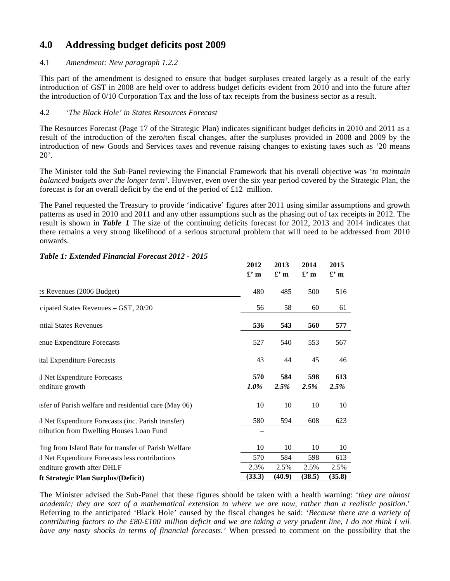# **4.0 Addressing budget deficits post 2009**

## 4.1 *Amendment: New paragraph 1.2.2*

This part of the amendment is designed to ensure that budget surpluses created largely as a result of the early introduction of GST in 2008 are held over to address budget deficits evident from 2010 and into the future after the introduction of 0/10 Corporation Tax and the loss of tax receipts from the business sector as a result.

## 4.2 '*The Black Hole' in States Resources Forecast*

The Resources Forecast (Page 17 of the Strategic Plan) indicates significant budget deficits in 2010 and 2011 as a result of the introduction of the zero/ten fiscal changes, after the surpluses provided in 2008 and 2009 by the introduction of new Goods and Services taxes and revenue raising changes to existing taxes such as '20 means  $20^\circ$ .

The Minister told the Sub-Panel reviewing the Financial Framework that his overall objective was '*to maintain balanced budgets over the longer term'*. However, even over the six year period covered by the Strategic Plan, the forecast is for an overall deficit by the end of the period of £12 million.

The Panel requested the Treasury to provide 'indicative' figures after 2011 using similar assumptions and growth patterns as used in 2010 and 2011 and any other assumptions such as the phasing out of tax receipts in 2012. The result is shown in *Table 1*. The size of the continuing deficits forecast for 2012, 2013 and 2014 indicates that there remains a very strong likelihood of a serious structural problem that will need to be addressed from 2010 onwards.

|                                                       | 2012<br>$\mathbf{f}'$ m | 2013<br>$\mathbf{f}'$ m | 2014<br>$\mathbf{f}'$ m | 2015<br>$\mathbf{f}'$ m |
|-------------------------------------------------------|-------------------------|-------------------------|-------------------------|-------------------------|
| es Revenues (2006 Budget)                             | 480                     | 485                     | 500                     | 516                     |
| cipated States Revenues - GST, 20/20                  | 56                      | 58                      | 60                      | 61                      |
| ntial States Revenues                                 | 536                     | 543                     | 560                     | 577                     |
| enue Expenditure Forecasts                            | 527                     | 540                     | 553                     | 567                     |
| ital Expenditure Forecasts                            | 43                      | 44                      | 45                      | 46                      |
| I Net Expenditure Forecasts                           | 570                     | 584                     | 598                     | 613                     |
| enditure growth                                       | $1.0\%$                 | 2.5%                    | 2.5%                    | 2.5%                    |
| isfer of Parish welfare and residential care (May 06) | 10                      | 10                      | 10                      | 10                      |
| I Net Expenditure Forecasts (inc. Parish transfer)    | 580                     | 594                     | 608                     | 623                     |
| tribution from Dwelling Houses Loan Fund              |                         |                         |                         |                         |
| ling from Island Rate for transfer of Parish Welfare  | 10                      | 10                      | 10                      | 10                      |
| I Net Expenditure Forecasts less contributions        | 570                     | 584                     | 598                     | 613                     |
| enditure growth after DHLF                            | 2.3%                    | 2.5%                    | 2.5%                    | 2.5%                    |
| ft Strategic Plan Surplus/(Deficit)                   | (33.3)                  | (40.9)                  | (38.5)                  | (35.8)                  |

# *Table 1: Extended Financial Forecast 2012 - 2015*

The Minister advised the Sub-Panel that these figures should be taken with a health warning: '*they are almost academic; they are sort of a mathematical extension to where we are now, rather than a realistic position*.' Referring to the anticipated 'Black Hole' caused by the fiscal changes he said: '*Because there are a variety of contributing factors to the £80-£100 million deficit and we are taking a very prudent line, I do not think I will have any nasty shocks in terms of financial forecasts.'* When pressed to comment on the possibility that the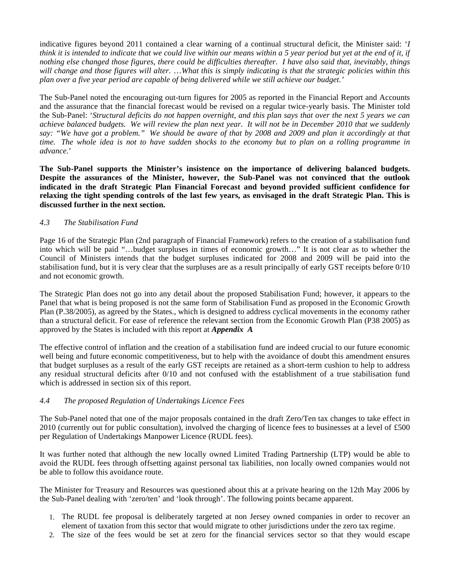indicative figures beyond 2011 contained a clear warning of a continual structural deficit, the Minister said: '*I think it is intended to indicate that we could live within our means within a 5 year period but yet at the end of it, if nothing else changed those figures, there could be difficulties thereafter. I have also said that, inevitably, things will change and those figures will alter.* …*What this is simply indicating is that the strategic policies within this plan over a five year period are capable of being delivered while we still achieve our budget.'*

The Sub-Panel noted the encouraging out-turn figures for 2005 as reported in the Financial Report and Accounts and the assurance that the financial forecast would be revised on a regular twice-yearly basis. The Minister told the Sub-Panel: '*Structural deficits do not happen overnight, and this plan says that over the next 5 years we can achieve balanced budgets. We will review the plan next year. It will not be in December 2010 that we suddenly say: "We have got a problem." We should be aware of that by 2008 and 2009 and plan it accordingly at that time. The whole idea is not to have sudden shocks to the economy but to plan on a rolling programme in advance*.'

**The Sub-Panel supports the Minister's insistence on the importance of delivering balanced budgets. Despite the assurances of the Minister, however, the Sub-Panel was not convinced that the outlook indicated in the draft Strategic Plan Financial Forecast and beyond provided sufficient confidence for relaxing the tight spending controls of the last few years, as envisaged in the draft Strategic Plan. This is discussed further in the next section.**

## *4.3 The Stabilisation Fund*

Page 16 of the Strategic Plan (2nd paragraph of Financial Framework) refers to the creation of a stabilisation fund into which will be paid "…budget surpluses in times of economic growth…" It is not clear as to whether the Council of Ministers intends that the budget surpluses indicated for 2008 and 2009 will be paid into the stabilisation fund, but it is very clear that the surpluses are as a result principally of early GST receipts before 0/10 and not economic growth.

The Strategic Plan does not go into any detail about the proposed Stabilisation Fund; however, it appears to the Panel that what is being proposed is not the same form of Stabilisation Fund as proposed in the Economic Growth Plan (P.38/2005), as agreed by the States., which is designed to address cyclical movements in the economy rather than a structural deficit. For ease of reference the relevant section from the Economic Growth Plan (P38 2005) as approved by the States is included with this report at *Appendix A*.

The effective control of inflation and the creation of a stabilisation fund are indeed crucial to our future economic well being and future economic competitiveness, but to help with the avoidance of doubt this amendment ensures that budget surpluses as a result of the early GST receipts are retained as a short-term cushion to help to address any residual structural deficits after 0/10 and not confused with the establishment of a true stabilisation fund which is addressed in section six of this report.

## *4.4 The proposed Regulation of Undertakings Licence Fees*

The Sub-Panel noted that one of the major proposals contained in the draft Zero/Ten tax changes to take effect in 2010 (currently out for public consultation), involved the charging of licence fees to businesses at a level of £500 per Regulation of Undertakings Manpower Licence (RUDL fees).

It was further noted that although the new locally owned Limited Trading Partnership (LTP) would be able to avoid the RUDL fees through offsetting against personal tax liabilities, non locally owned companies would not be able to follow this avoidance route.

The Minister for Treasury and Resources was questioned about this at a private hearing on the 12th May 2006 by the Sub-Panel dealing with 'zero/ten' and 'look through'. The following points became apparent.

- 1. The RUDL fee proposal is deliberately targeted at non Jersey owned companies in order to recover an element of taxation from this sector that would migrate to other jurisdictions under the zero tax regime.
- 2. The size of the fees would be set at zero for the financial services sector so that they would escape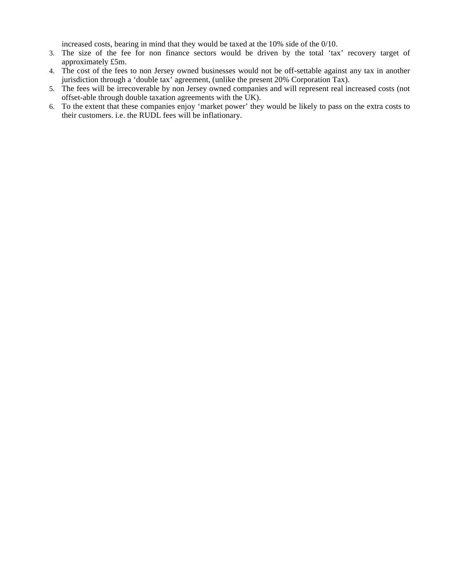increased costs, bearing in mind that they would be taxed at the 10% side of the 0/10.

- 3. The size of the fee for non finance sectors would be driven by the total 'tax' recovery target of approximately £5m.
- 4. The cost of the fees to non Jersey owned businesses would not be off-settable against any tax in another jurisdiction through a 'double tax' agreement, (unlike the present 20% Corporation Tax).
- 5. The fees will be irrecoverable by non Jersey owned companies and will represent real increased costs (not offset-able through double taxation agreements with the UK).
- 6. To the extent that these companies enjoy 'market power' they would be likely to pass on the extra costs to their customers. i.e. the RUDL fees will be inflationary.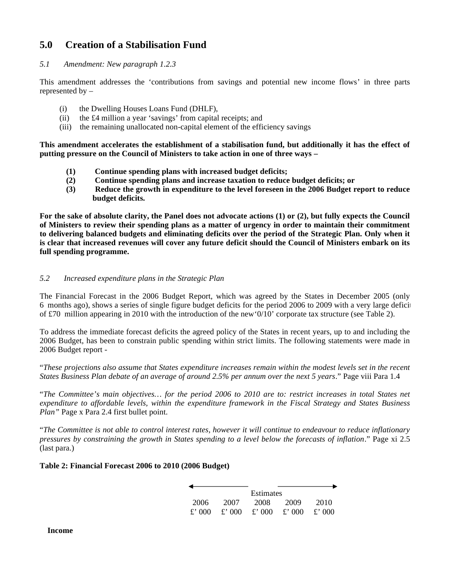# **5.0 Creation of a Stabilisation Fund**

#### *5.1 Amendment: New paragraph 1.2.3*

This amendment addresses the 'contributions from savings and potential new income flows' in three parts represented by –

- (i) the Dwelling Houses Loans Fund (DHLF),
- (ii) the £4 million a year 'savings' from capital receipts; and
- (iii) the remaining unallocated non-capital element of the efficiency savings

**This amendment accelerates the establishment of a stabilisation fund, but additionally it has the effect of putting pressure on the Council of Ministers to take action in one of three ways –**

- **(1) Continue spending plans with increased budget deficits;**
- **(2) Continue spending plans and increase taxation to reduce budget deficits; or**
- **(3) Reduce the growth in expenditure to the level foreseen in the 2006 Budget report to reduce budget deficits.**

**For the sake of absolute clarity, the Panel does not advocate actions (1) or (2), but fully expects the Council of Ministers to review their spending plans as a matter of urgency in order to maintain their commitment to delivering balanced budgets and eliminating deficits over the period of the Strategic Plan. Only when it is clear that increased revenues will cover any future deficit should the Council of Ministers embark on its full spending programme.**

#### *5.2 Increased expenditure plans in the Strategic Plan*

The Financial Forecast in the 2006 Budget Report, which was agreed by the States in December 2005 (only 6 months ago), shows a series of single figure budget deficits for the period 2006 to 2009 with a very large deficit of £70 million appearing in 2010 with the introduction of the new  $0/10$  corporate tax structure (see Table 2).

To address the immediate forecast deficits the agreed policy of the States in recent years, up to and including the 2006 Budget, has been to constrain public spending within strict limits. The following statements were made in 2006 Budget report -

"*These projections also assume that States expenditure increases remain within the modest levels set in the recent States Business Plan debate of an average of around 2.5% per annum over the next 5 years*." Page viii Para 1.4

"*The Committee's main objectives… for the period 2006 to 2010 are to: restrict increases in total States net expenditure to affordable levels, within the expenditure framework in the Fiscal Strategy and States Business Plan"* Page x Para 2.4 first bullet point.

"*The Committee is not able to control interest rates, however it will continue to endeavour to reduce inflationary pressures by constraining the growth in States spending to a level below the forecasts of inflation*." Page xi 2.5 (last para.)

#### **Table 2: Financial Forecast 2006 to 2010 (2006 Budget)**

|        |        | Estimates     |        |        |
|--------|--------|---------------|--------|--------|
| 2006   | 2007   | 2008          | 2009   | 2010   |
| £' 000 | f' 000 | $\pounds$ 000 | £' 000 | f: 000 |

**Income**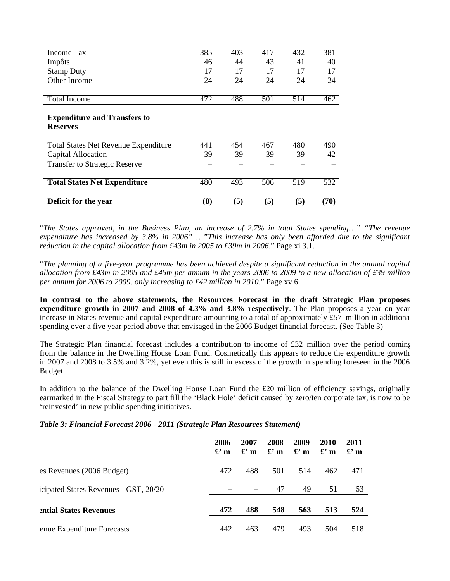| Income Tax<br>Impôts<br><b>Stamp Duty</b><br>Other Income | 385<br>46<br>17<br>24 | 403<br>44<br>17<br>24 | 417<br>43<br>17<br>24 | 432<br>41<br>17<br>24 | 381<br>40<br>17<br>24 |
|-----------------------------------------------------------|-----------------------|-----------------------|-----------------------|-----------------------|-----------------------|
| <b>Total Income</b>                                       | 472                   | 488                   | 501                   | 514                   | 462                   |
| <b>Expenditure and Transfers to</b><br><b>Reserves</b>    |                       |                       |                       |                       |                       |
| <b>Total States Net Revenue Expenditure</b>               | 441                   | 454                   | 467                   | 480                   | 490                   |
| Capital Allocation                                        | 39                    | 39                    | 39                    | 39                    | 42                    |
| <b>Transfer to Strategic Reserve</b>                      |                       |                       |                       |                       |                       |
| <b>Total States Net Expenditure</b>                       | 480                   | 493                   | 506                   | 519                   | 532                   |
| Deficit for the year                                      | (8)                   | (5)                   | (5)                   | (5)                   | (70)                  |

"*The States approved, in the Business Plan, an increase of 2.7% in total States spending…" "The revenue expenditure has increased by 3.8% in 2006" …"This increase has only been afforded due to the significant reduction in the capital allocation from £43m in 2005 to £39m in 2006*." Page xi 3.1.

"*The planning of a five-year programme has been achieved despite a significant reduction in the annual capital allocation from £43m in 2005 and £45m per annum in the years 2006 to 2009 to a new allocation of £39 million per annum for 2006 to 2009, only increasing to £42 million in 2010*." Page xv 6.

**In contrast to the above statements, the Resources Forecast in the draft Strategic Plan proposes expenditure growth in 2007 and 2008 of 4.3% and 3.8% respectively**. The Plan proposes a year on year increase in States revenue and capital expenditure amounting to a total of approximately £57 million in additional spending over a five year period above that envisaged in the 2006 Budget financial forecast. (See Table 3)

The Strategic Plan financial forecast includes a contribution to income of £32 million over the period coming from the balance in the Dwelling House Loan Fund. Cosmetically this appears to reduce the expenditure growth in 2007 and 2008 to 3.5% and 3.2%, yet even this is still in excess of the growth in spending foreseen in the 2006 Budget.

In addition to the balance of the Dwelling House Loan Fund the £20 million of efficiency savings, originally earmarked in the Fiscal Strategy to part fill the 'Black Hole' deficit caused by zero/ten corporate tax, is now to be 'reinvested' in new public spending initiatives.

#### *Table 3: Financial Forecast 2006 - 2011 (Strategic Plan Resources Statement)*

|                                       | 2006<br>$\mathbf{f}'$ m | 2007<br>$\mathbf{f}'$ m | 2008<br>$\mathbf{f}'$ m | 2009<br>$\mathbf{f}'$ m | 2010<br>$\mathbf{f}'$ m | 2011<br>$\mathbf{f}'$ m |
|---------------------------------------|-------------------------|-------------------------|-------------------------|-------------------------|-------------------------|-------------------------|
| es Revenues (2006 Budget)             | 472                     | 488                     | 501                     | 514                     | 462                     | 471                     |
| icipated States Revenues - GST, 20/20 |                         |                         | 47                      | 49                      | 51                      | 53                      |
| ential States Revenues                | 472                     | 488                     | 548                     | 563                     | 513                     | 524                     |
| enue Expenditure Forecasts            | 442                     | 463                     | 479                     | 493                     | 504                     | 518                     |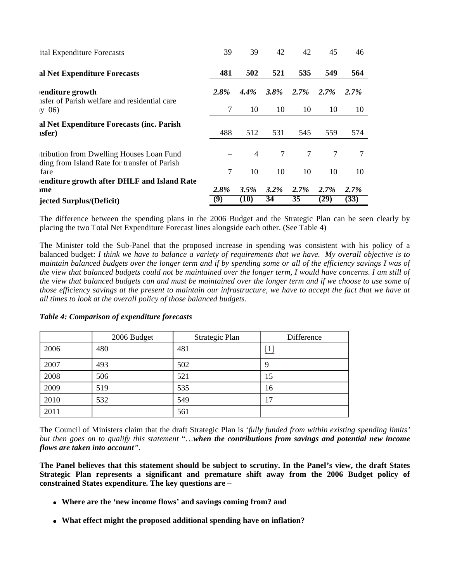| ital Expenditure Forecasts                                                               | 39              | 39             | 42      | 42             | 45   | 46      |
|------------------------------------------------------------------------------------------|-----------------|----------------|---------|----------------|------|---------|
| al Net Expenditure Forecasts                                                             | 481             | 502            | 521     | 535            | 549  | 564     |
| enditure growth<br>isfer of Parish welfare and residential care                          | 2.8%            | 4.4%           | $3.8\%$ | 2.7%           | 2.7% | $2.7\%$ |
| $(y \ 06)$                                                                               |                 | 10             | 10      | 10             | 10   | 10      |
| al Net Expenditure Forecasts (inc. Parish<br><i>sfer</i> )                               | 488             | 512            | 531     | 545            | 559  | 574     |
| tribution from Dwelling Houses Loan Fund<br>ding from Island Rate for transfer of Parish |                 | $\overline{4}$ | 7       | $\overline{7}$ | 7    | 7       |
| fare<br>enditure growth after DHLF and Island Rate                                       | $7\phantom{.0}$ | 10             | 10      | 10             | 10   | 10      |
| me                                                                                       | 2.8%            | 3.5%           | $3.2\%$ | 2.7%           | 2.7% | 2.7%    |
| jected Surplus/(Deficit)                                                                 | (9)             | (10)           | 34      | 35             | (29) | (33)    |

The difference between the spending plans in the 2006 Budget and the Strategic Plan can be seen clearly by placing the two Total Net Expenditure Forecast lines alongside each other. (See Table 4)

The Minister told the Sub-Panel that the proposed increase in spending was consistent with his policy of a balanced budget: *I think we have to balance a variety of requirements that we have. My overall objective is to maintain balanced budgets over the longer term and if by spending some or all of the efficiency savings I was of the view that balanced budgets could not be maintained over the longer term, I would have concerns. I am still of the view that balanced budgets can and must be maintained over the longer term and if we choose to use some of those efficiency savings at the present to maintain our infrastructure, we have to accept the fact that we have at all times to look at the overall policy of those balanced budgets.*

|      | 2006 Budget | Strategic Plan | Difference       |
|------|-------------|----------------|------------------|
| 2006 | 480         | 481            | $\left[1\right]$ |
| 2007 | 493         | 502            | 9                |
| 2008 | 506         | 521            | 15               |
| 2009 | 519         | 535            | 16               |
| 2010 | 532         | 549            | 17               |
| 2011 |             | 561            |                  |

#### *Table 4: Comparison of expenditure forecasts*

The Council of Ministers claim that the draft Strategic Plan is '*fully funded from within existing spending limits' but then goes on to qualify this statement* "…*when the contributions from savings and potential new income flows are taken into account".*

**The Panel believes that this statement should be subject to scrutiny. In the Panel's view, the draft States Strategic Plan represents a significant and premature shift away from the 2006 Budget policy of constrained States expenditure. The key questions are –**

- **Where are the 'new income flows' and savings coming from? and**
- **What effect might the proposed additional spending have on inflation?**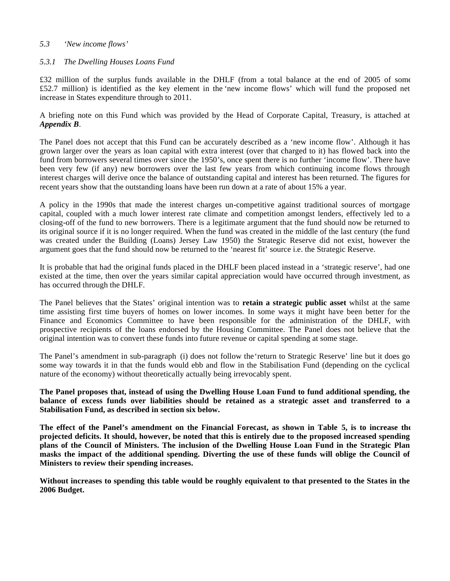#### *5.3 'New income flows'*

#### *5.3.1 The Dwelling Houses Loans Fund*

£32 million of the surplus funds available in the DHLF (from a total balance at the end of 2005 of some £52.7 million) is identified as the key element in the 'new income flows' which will fund the proposed net increase in States expenditure through to 2011.

A briefing note on this Fund which was provided by the Head of Corporate Capital, Treasury, is attached at *Appendix B*.

The Panel does not accept that this Fund can be accurately described as a 'new income flow'. Although it has grown larger over the years as loan capital with extra interest (over that charged to it) has flowed back into the fund from borrowers several times over since the 1950's, once spent there is no further 'income flow'. There have been very few (if any) new borrowers over the last few years from which continuing income flows through interest charges will derive once the balance of outstanding capital and interest has been returned. The figures for recent years show that the outstanding loans have been run down at a rate of about 15% a year.

A policy in the 1990s that made the interest charges un-competitive against traditional sources of mortgage capital, coupled with a much lower interest rate climate and competition amongst lenders, effectively led to a closing-off of the fund to new borrowers. There is a legitimate argument that the fund should now be returned to its original source if it is no longer required. When the fund was created in the middle of the last century (the fund was created under the Building (Loans) Jersey Law 1950) the Strategic Reserve did not exist, however the argument goes that the fund should now be returned to the 'nearest fit' source i.e. the Strategic Reserve.

It is probable that had the original funds placed in the DHLF been placed instead in a 'strategic reserve', had one existed at the time, then over the years similar capital appreciation would have occurred through investment, as has occurred through the DHLF.

The Panel believes that the States' original intention was to **retain a strategic public asset** whilst at the same time assisting first time buyers of homes on lower incomes. In some ways it might have been better for the Finance and Economics Committee to have been responsible for the administration of the DHLF, with prospective recipients of the loans endorsed by the Housing Committee. The Panel does not believe that the original intention was to convert these funds into future revenue or capital spending at some stage.

The Panel's amendment in sub-paragraph (i) does not follow the'return to Strategic Reserve' line but it does go some way towards it in that the funds would ebb and flow in the Stabilisation Fund (depending on the cyclical nature of the economy) without theoretically actually being irrevocably spent.

**The Panel proposes that, instead of using the Dwelling House Loan Fund to fund additional spending, the balance of excess funds over liabilities should be retained as a strategic asset and transferred to a Stabilisation Fund, as described in section six below.**

**The effect of the Panel's amendment on the Financial Forecast, as shown in Table 5, is to increase the projected deficits. It should, however, be noted that this is entirely due to the proposed increased spending plans of the Council of Ministers. The inclusion of the Dwelling House Loan Fund in the Strategic Plan masks the impact of the additional spending. Diverting the use of these funds will oblige the Council of Ministers to review their spending increases.**

**Without increases to spending this table would be roughly equivalent to that presented to the States in the 2006 Budget.**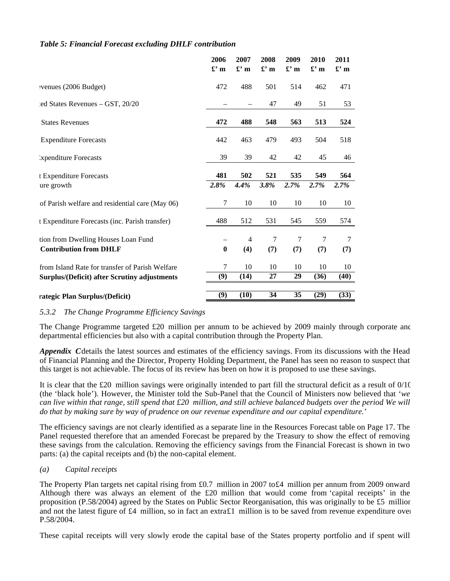## *Table 5: Financial Forecast excluding DHLF contribution*

|                                       |                                                                                                        | 2006<br>£'m                         | 2007<br>$\mathbf{f}'$ m | 2008<br>$\mathbf{f}'$ m | 2009<br>$\mathbf{f}'$ m | 2010<br>$\mathbf{f}'$ m | 2011<br>$\mathbf{f}'$ m |
|---------------------------------------|--------------------------------------------------------------------------------------------------------|-------------------------------------|-------------------------|-------------------------|-------------------------|-------------------------|-------------------------|
| venues (2006 Budget)                  |                                                                                                        | 472                                 | 488                     | 501                     | 514                     | 462                     | 471                     |
|                                       | ed States Revenues - GST, 20/20                                                                        |                                     |                         | 47                      | 49                      | 51                      | 53                      |
| <b>States Revenues</b>                |                                                                                                        | 472                                 | 488                     | 548                     | 563                     | 513                     | 524                     |
| <b>Expenditure Forecasts</b>          |                                                                                                        | 442                                 | 463                     | 479                     | 493                     | 504                     | 518                     |
| <i>xpenditure</i> Forecasts           |                                                                                                        | 39                                  | 39                      | 42                      | 42                      | 45                      | 46                      |
| t Expenditure Forecasts<br>ure growth |                                                                                                        | 481<br>2.8%                         | 502<br>4.4%             | 521<br>3.8%             | 535<br>2.7%             | 549<br>2.7%             | 564<br>2.7%             |
|                                       | of Parish welfare and residential care (May 06)                                                        | $\tau$                              | 10                      | 10                      | 10                      | 10                      | 10                      |
|                                       | t Expenditure Forecasts (inc. Parish transfer)                                                         | 488                                 | 512                     | 531                     | 545                     | 559                     | 574                     |
| <b>Contribution from DHLF</b>         | tion from Dwelling Houses Loan Fund                                                                    | $\qquad \qquad$<br>$\boldsymbol{0}$ | 4<br>(4)                | 7<br>(7)                | 7<br>(7)                | 7<br>(7)                | 7<br>(7)                |
|                                       | from Island Rate for transfer of Parish Welfare<br><b>Surplus/(Deficit) after Scrutiny adjustments</b> | 7<br>(9)                            | 10<br>(14)              | 10<br>27                | 10<br>29                | 10<br>(36)              | 10<br>(40)              |
|                                       | rategic Plan Surplus/(Deficit)                                                                         | $\overline{(9)}$                    | (10)                    | $\overline{34}$         | $\overline{35}$         | (29)                    | (33)                    |

## *5.3.2 The Change Programme Efficiency Savings*

The Change Programme targeted £20 million per annum to be achieved by 2009 mainly through corporate and departmental efficiencies but also with a capital contribution through the Property Plan.

*Appendix C* details the latest sources and estimates of the efficiency savings. From its discussions with the Head of Financial Planning and the Director, Property Holding Department, the Panel has seen no reason to suspect that this target is not achievable. The focus of its review has been on how it is proposed to use these savings.

It is clear that the £20 million savings were originally intended to part fill the structural deficit as a result of 0/10 (the 'black hole'). However, the Minister told the Sub-Panel that the Council of Ministers now believed that '*we can live within that range, still spend that £20 million, and still achieve balanced budgets over the period*. *We will do that by making sure by way of prudence on our revenue expenditure and our capital expenditure.*'

The efficiency savings are not clearly identified as a separate line in the Resources Forecast table on Page 17. The Panel requested therefore that an amended Forecast be prepared by the Treasury to show the effect of removing these savings from the calculation. Removing the efficiency savings from the Financial Forecast is shown in two parts: (a) the capital receipts and (b) the non-capital element.

## *(a) Capital receipts*

The Property Plan targets net capital rising from £0.7 million in 2007 to£4 million per annum from 2009 onward Although there was always an element of the £20 million that would come from 'capital receipts' in the proposition (P.58/2004) agreed by the States on Public Sector Reorganisation, this was originally to be £5 million and not the latest figure of £4 million, so in fact an extra£1 million is to be saved from revenue expenditure over P.58/2004.

These capital receipts will very slowly erode the capital base of the States property portfolio and if spent will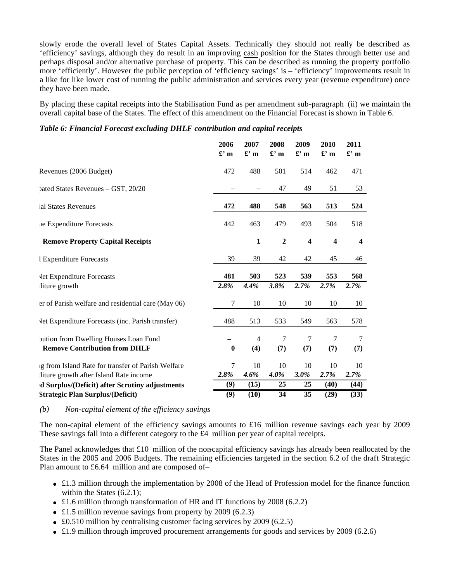slowly erode the overall level of States Capital Assets. Technically they should not really be described as 'efficiency' savings, although they do result in an improving cash position for the States through better use and perhaps disposal and/or alternative purchase of property. This can be described as running the property portfolio more 'efficiently'. However the public perception of 'efficiency savings' is – 'efficiency' improvements result in a like for like lower cost of running the public administration and services every year (revenue expenditure) once they have been made.

By placing these capital receipts into the Stabilisation Fund as per amendment sub-paragraph (ii) we maintain the overall capital base of the States. The effect of this amendment on the Financial Forecast is shown in Table 6.

## *Table 6: Financial Forecast excluding DHLF contribution and capital receipts*

|                                                    | 2006<br>£'m      | 2007<br>$\mathbf{f}'$ m | 2008<br>$\mathbf{f}'$ m | 2009<br>$\mathbf{f}'$ m | 2010<br>£'m | 2011<br>$\mathbf{f}'$ m |
|----------------------------------------------------|------------------|-------------------------|-------------------------|-------------------------|-------------|-------------------------|
| Revenues (2006 Budget)                             | 472              | 488                     | 501                     | 514                     | 462         | 471                     |
| pated States Revenues - GST, 20/20                 |                  |                         | 47                      | 49                      | 51          | 53                      |
| ial States Revenues                                | 472              | 488                     | 548                     | 563                     | 513         | 524                     |
| le Expenditure Forecasts                           | 442              | 463                     | 479                     | 493                     | 504         | 518                     |
| <b>Remove Property Capital Receipts</b>            |                  | 1                       | $\boldsymbol{2}$        | 4                       | 4           | $\overline{\mathbf{4}}$ |
| <b>LExpenditure Forecasts</b>                      | 39               | 39                      | 42                      | 42                      | 45          | 46                      |
| <b>Vet Expenditure Forecasts</b>                   | 481              | 503                     | 523                     | 539                     | 553         | 568                     |
| liture growth                                      | 2.8%             | 4.4%                    | 3.8%                    | 2.7%                    | 2.7%        | 2.7%                    |
| er of Parish welfare and residential care (May 06) | 7                | 10                      | 10                      | 10                      | 10          | 10                      |
| Vet Expenditure Forecasts (inc. Parish transfer)   | 488              | 513                     | 533                     | 549                     | 563         | 578                     |
| bution from Dwelling Houses Loan Fund              |                  | $\overline{4}$          | 7                       | 7                       | 7           | 7                       |
| <b>Remove Contribution from DHLF</b>               | $\boldsymbol{0}$ | (4)                     | (7)                     | (7)                     | (7)         | (7)                     |
| g from Island Rate for transfer of Parish Welfare  | 7                | 10                      | 10                      | 10                      | 10          | 10                      |
| liture growth after Island Rate income             | 2.8%             | $4.6\%$                 | 4.0%                    | 3.0%                    | 2.7%        | 2.7%                    |
| d Surplus/(Deficit) after Scrutiny adjustments     | (9)              | (15)                    | 25                      | 25                      | (40)        | (44)                    |
| <b>Strategic Plan Surplus/(Deficit)</b>            | $\overline{(9)}$ | (10)                    | 34                      | $\overline{35}$         | (29)        | (33)                    |

*(b) Non-capital element of the efficiency savings*

The non-capital element of the efficiency savings amounts to £16 million revenue savings each year by 2009. These savings fall into a different category to the £4 million per year of capital receipts.

The Panel acknowledges that  $\pounds 10$  million of the non-capital efficiency savings has already been reallocated by the States in the 2005 and 2006 Budgets. The remaining efficiencies targeted in the section 6.2 of the draft Strategic Plan amount to £6.64 million and are composed of-

- £1.3 million through the implementation by 2008 of the Head of Profession model for the finance function within the States  $(6.2.1)$ ;
- £1.6 million through transformation of HR and IT functions by 2008 (6.2.2)
- £1.5 million revenue savings from property by 2009 (6.2.3)
- £0.510 million by centralising customer facing services by 2009 (6.2.5)
- £1.9 million through improved procurement arrangements for goods and services by 2009 (6.2.6)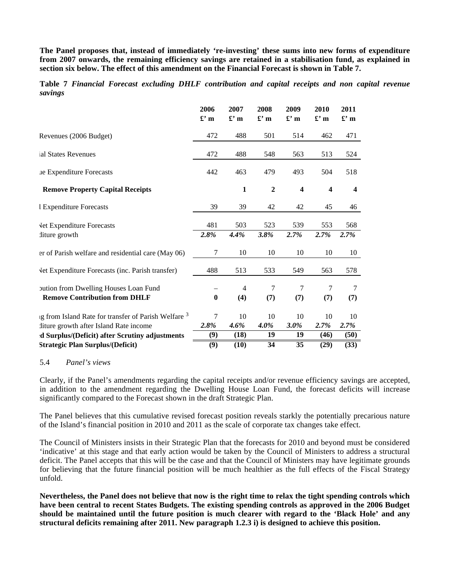**The Panel proposes that, instead of immediately 're-investing' these sums into new forms of expenditure from 2007 onwards, the remaining efficiency savings are retained in a stabilisation fund, as explained in section six below. The effect of this amendment on the Financial Forecast is shown in Table 7.**

**Table 7** *Financial Forecast excluding DHLF contribution and capital receipts and non capital revenue savings*

|                                                                 | 2006<br>$\mathbf{f}'$ m | 2007<br>$\mathbf{f}'$ m | 2008<br>$\mathbf{f}'$ m | 2009<br>$\mathbf{f}'$ m | 2010<br>$\mathbf{f}'$ m | 2011<br>$\mathbf{f}'$ m |
|-----------------------------------------------------------------|-------------------------|-------------------------|-------------------------|-------------------------|-------------------------|-------------------------|
| Revenues (2006 Budget)                                          | 472                     | 488                     | 501                     | 514                     | 462                     | 471                     |
| ial States Revenues                                             | 472                     | 488                     | 548                     | 563                     | 513                     | 524                     |
| le Expenditure Forecasts                                        | 442                     | 463                     | 479                     | 493                     | 504                     | 518                     |
| <b>Remove Property Capital Receipts</b>                         |                         | 1                       | $\overline{2}$          | $\overline{\mathbf{4}}$ | 4                       | $\overline{\mathbf{4}}$ |
| <b>LExpenditure Forecasts</b>                                   | 39                      | 39                      | 42                      | 42                      | 45                      | 46                      |
| <b>Vet Expenditure Forecasts</b>                                | 481                     | 503                     | 523                     | 539                     | 553                     | 568                     |
| liture growth                                                   | 2.8%                    | 4.4%                    | 3.8%                    | 2.7%                    | 2.7%                    | 2.7%                    |
| er of Parish welfare and residential care (May 06)              | 7                       | 10                      | 10                      | 10                      | 10                      | 10                      |
| Vet Expenditure Forecasts (inc. Parish transfer)                | 488                     | 513                     | 533                     | 549                     | 563                     | 578                     |
| bution from Dwelling Houses Loan Fund                           |                         | 4                       | 7                       | 7                       | 7                       | 7                       |
| <b>Remove Contribution from DHLF</b>                            | $\mathbf{0}$            | (4)                     | (7)                     | (7)                     | (7)                     | (7)                     |
| ig from Island Rate for transfer of Parish Welfare <sup>3</sup> | 7                       | 10                      | 10                      | 10                      | 10                      | 10                      |
| liture growth after Island Rate income                          | 2.8%                    | $4.6\%$                 | $4.0\%$                 | $3.0\%$                 | 2.7%                    | 2.7%                    |
| d Surplus/(Deficit) after Scrutiny adjustments                  | (9)                     | (18)                    | 19                      | 19                      | (46)                    | (50)                    |
| <b>Strategic Plan Surplus/(Deficit)</b>                         | (9)                     | (10)                    | 34                      | 35                      | (29)                    | (33)                    |

#### 5.4 *Panel's views*

Clearly, if the Panel's amendments regarding the capital receipts and/or revenue efficiency savings are accepted, in addition to the amendment regarding the Dwelling House Loan Fund, the forecast deficits will increase significantly compared to the Forecast shown in the draft Strategic Plan.

The Panel believes that this cumulative revised forecast position reveals starkly the potentially precarious nature of the Island's financial position in 2010 and 2011 as the scale of corporate tax changes take effect.

The Council of Ministers insists in their Strategic Plan that the forecasts for 2010 and beyond must be considered 'indicative' at this stage and that early action would be taken by the Council of Ministers to address a structural deficit. The Panel accepts that this will be the case and that the Council of Ministers may have legitimate grounds for believing that the future financial position will be much healthier as the full effects of the Fiscal Strategy unfold.

**Nevertheless, the Panel does not believe that now is the right time to relax the tight spending controls which have been central to recent States Budgets. The existing spending controls as approved in the 2006 Budget should be maintained until the future position is much clearer with regard to the 'Black Hole' and any structural deficits remaining after 2011. New paragraph 1.2.3 i) is designed to achieve this position.**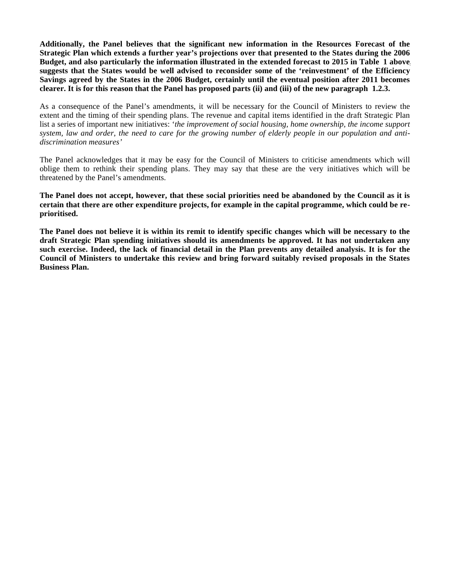**Additionally, the Panel believes that the significant new information in the Resources Forecast of the Strategic Plan which extends a further year's projections over that presented to the States during the 2006 Budget, and also particularly the information illustrated in the extended forecast to 2015 in Table 1 above, suggests that the States would be well advised to reconsider some of the 'reinvestment' of the Efficiency Savings agreed by the States in the 2006 Budget, certainly until the eventual position after 2011 becomes clearer. It is for this reason that the Panel has proposed parts (ii) and (iii) of the new paragraph 1.2.3.**

As a consequence of the Panel's amendments, it will be necessary for the Council of Ministers to review the extent and the timing of their spending plans. The revenue and capital items identified in the draft Strategic Plan list a series of important new initiatives: '*the improvement of social housing, home ownership, the income support system, law and order, the need to care for the growing number of elderly people in our population and antidiscrimination measures'*

The Panel acknowledges that it may be easy for the Council of Ministers to criticise amendments which will oblige them to rethink their spending plans. They may say that these are the very initiatives which will be threatened by the Panel's amendments.

**The Panel does not accept, however, that these social priorities need be abandoned by the Council as it is certain that there are other expenditure projects, for example in the capital programme, which could be reprioritised.**

**The Panel does not believe it is within its remit to identify specific changes which will be necessary to the draft Strategic Plan spending initiatives should its amendments be approved. It has not undertaken any such exercise. Indeed, the lack of financial detail in the Plan prevents any detailed analysis. It is for the Council of Ministers to undertake this review and bring forward suitably revised proposals in the States Business Plan.**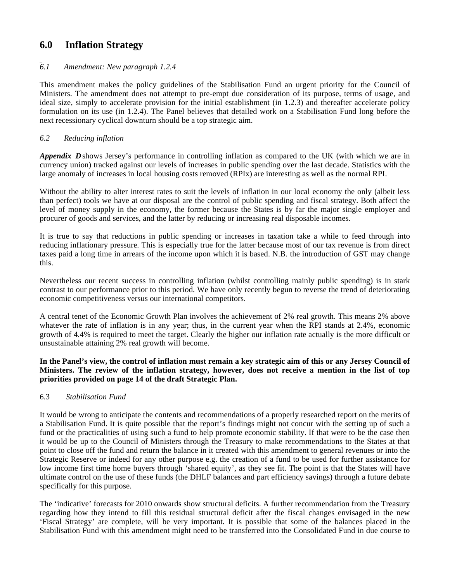# **6.0 Inflation Strategy**

# *6.1 Amendment: New paragraph 1.2.4*

This amendment makes the policy guidelines of the Stabilisation Fund an urgent priority for the Council of Ministers. The amendment does not attempt to pre-empt due consideration of its purpose, terms of usage, and ideal size, simply to accelerate provision for the initial establishment (in 1.2.3) and thereafter accelerate policy formulation on its use (in 1.2.4). The Panel believes that detailed work on a Stabilisation Fund long before the next recessionary cyclical downturn should be a top strategic aim.

## *6.2 Reducing inflation*

*Appendix D* shows Jersey's performance in controlling inflation as compared to the UK (with which we are in currency union) tracked against our levels of increases in public spending over the last decade. Statistics with the large anomaly of increases in local housing costs removed (RPIx) are interesting as well as the normal RPI.

Without the ability to alter interest rates to suit the levels of inflation in our local economy the only (albeit less than perfect) tools we have at our disposal are the control of public spending and fiscal strategy. Both affect the level of money supply in the economy, the former because the States is by far the major single employer and procurer of goods and services, and the latter by reducing or increasing real disposable incomes.

It is true to say that reductions in public spending or increases in taxation take a while to feed through into reducing inflationary pressure. This is especially true for the latter because most of our tax revenue is from direct taxes paid a long time in arrears of the income upon which it is based. N.B. the introduction of GST may change this.

Nevertheless our recent success in controlling inflation (whilst controlling mainly public spending) is in stark contrast to our performance prior to this period. We have only recently begun to reverse the trend of deteriorating economic competitiveness versus our international competitors.

A central tenet of the Economic Growth Plan involves the achievement of 2% real growth. This means 2% above whatever the rate of inflation is in any year; thus, in the current year when the RPI stands at 2.4%, economic growth of 4.4% is required to meet the target. Clearly the higher our inflation rate actually is the more difficult or unsustainable attaining 2% real growth will become.

## **In the Panel's view, the control of inflation must remain a key strategic aim of this or any Jersey Council of Ministers. The review of the inflation strategy, however, does not receive a mention in the list of top priorities provided on page 14 of the draft Strategic Plan.**

## 6.3 *Stabilisation Fund*

It would be wrong to anticipate the contents and recommendations of a properly researched report on the merits of a Stabilisation Fund. It is quite possible that the report's findings might not concur with the setting up of such a fund or the practicalities of using such a fund to help promote economic stability. If that were to be the case then it would be up to the Council of Ministers through the Treasury to make recommendations to the States at that point to close off the fund and return the balance in it created with this amendment to general revenues or into the Strategic Reserve or indeed for any other purpose e.g. the creation of a fund to be used for further assistance for low income first time home buyers through 'shared equity', as they see fit. The point is that the States will have ultimate control on the use of these funds (the DHLF balances and part efficiency savings) through a future debate specifically for this purpose.

The 'indicative' forecasts for 2010 onwards show structural deficits. A further recommendation from the Treasury regarding how they intend to fill this residual structural deficit after the fiscal changes envisaged in the new 'Fiscal Strategy' are complete, will be very important. It is possible that some of the balances placed in the Stabilisation Fund with this amendment might need to be transferred into the Consolidated Fund in due course to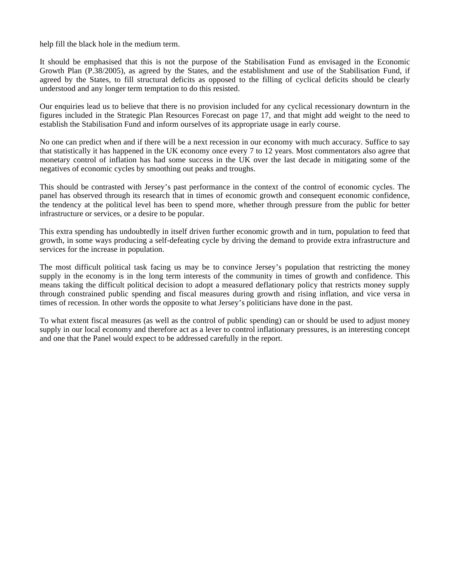help fill the black hole in the medium term.

It should be emphasised that this is not the purpose of the Stabilisation Fund as envisaged in the Economic Growth Plan (P.38/2005), as agreed by the States, and the establishment and use of the Stabilisation Fund, if agreed by the States, to fill structural deficits as opposed to the filling of cyclical deficits should be clearly understood and any longer term temptation to do this resisted.

Our enquiries lead us to believe that there is no provision included for any cyclical recessionary downturn in the figures included in the Strategic Plan Resources Forecast on page 17, and that might add weight to the need to establish the Stabilisation Fund and inform ourselves of its appropriate usage in early course.

No one can predict when and if there will be a next recession in our economy with much accuracy. Suffice to say that statistically it has happened in the UK economy once every 7 to 12 years. Most commentators also agree that monetary control of inflation has had some success in the UK over the last decade in mitigating some of the negatives of economic cycles by smoothing out peaks and troughs.

This should be contrasted with Jersey's past performance in the context of the control of economic cycles. The panel has observed through its research that in times of economic growth and consequent economic confidence, the tendency at the political level has been to spend more, whether through pressure from the public for better infrastructure or services, or a desire to be popular.

This extra spending has undoubtedly in itself driven further economic growth and in turn, population to feed that growth, in some ways producing a self-defeating cycle by driving the demand to provide extra infrastructure and services for the increase in population.

The most difficult political task facing us may be to convince Jersey's population that restricting the money supply in the economy is in the long term interests of the community in times of growth and confidence. This means taking the difficult political decision to adopt a measured deflationary policy that restricts money supply through constrained public spending and fiscal measures during growth and rising inflation, and vice versa in times of recession. In other words the opposite to what Jersey's politicians have done in the past.

To what extent fiscal measures (as well as the control of public spending) can or should be used to adjust money supply in our local economy and therefore act as a lever to control inflationary pressures, is an interesting concept and one that the Panel would expect to be addressed carefully in the report.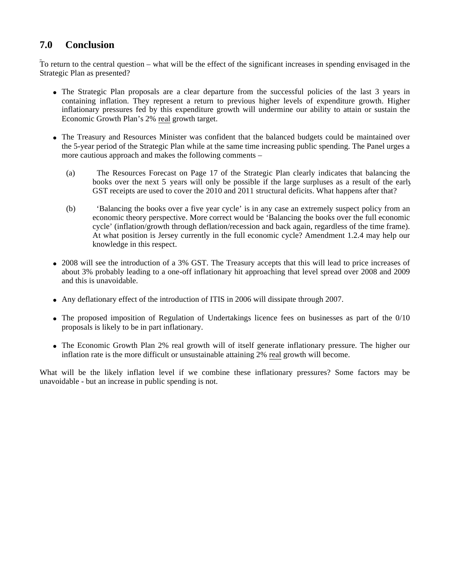# **7.0 Conclusion**

To return to the central question – what will be the effect of the significant increases in spending envisaged in the Strategic Plan as presented?

- The Strategic Plan proposals are a clear departure from the successful policies of the last 3 years in containing inflation. They represent a return to previous higher levels of expenditure growth. Higher inflationary pressures fed by this expenditure growth will undermine our ability to attain or sustain the Economic Growth Plan's 2% real growth target.
- The Treasury and Resources Minister was confident that the balanced budgets could be maintained over the 5-year period of the Strategic Plan while at the same time increasing public spending. The Panel urges a more cautious approach and makes the following comments –
	- (a) The Resources Forecast on Page 17 of the Strategic Plan clearly indicates that balancing the books over the next 5 years will only be possible if the large surpluses as a result of the early GST receipts are used to cover the 2010 and 2011 structural deficits. What happens after that?
	- (b) 'Balancing the books over a five year cycle' is in any case an extremely suspect policy from an economic theory perspective. More correct would be 'Balancing the books over the full economic cycle' (inflation/growth through deflation/recession and back again, regardless of the time frame). At what position is Jersey currently in the full economic cycle? Amendment 1.2.4 may help our knowledge in this respect.
- 2008 will see the introduction of a 3% GST. The Treasury accepts that this will lead to price increases of about 3% probably leading to a one-off inflationary hit approaching that level spread over 2008 and 2009 and this is unavoidable.
- Any deflationary effect of the introduction of ITIS in 2006 will dissipate through 2007.
- The proposed imposition of Regulation of Undertakings licence fees on businesses as part of the 0/10 proposals is likely to be in part inflationary.
- The Economic Growth Plan 2% real growth will of itself generate inflationary pressure. The higher our inflation rate is the more difficult or unsustainable attaining 2% real growth will become.

What will be the likely inflation level if we combine these inflationary pressures? Some factors may be unavoidable - but an increase in public spending is not.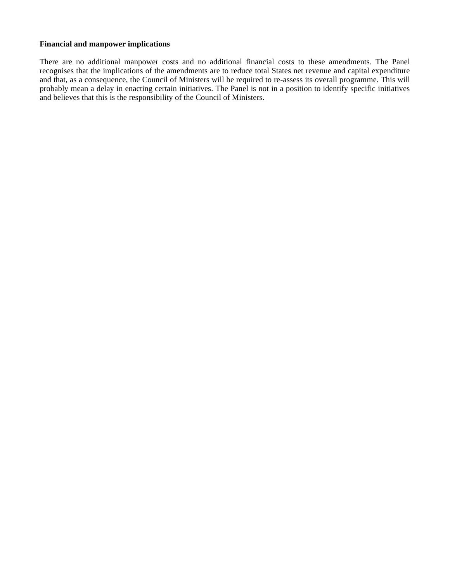#### **Financial and manpower implications**

There are no additional manpower costs and no additional financial costs to these amendments. The Panel recognises that the implications of the amendments are to reduce total States net revenue and capital expenditure and that, as a consequence, the Council of Ministers will be required to re-assess its overall programme. This will probably mean a delay in enacting certain initiatives. The Panel is not in a position to identify specific initiatives and believes that this is the responsibility of the Council of Ministers.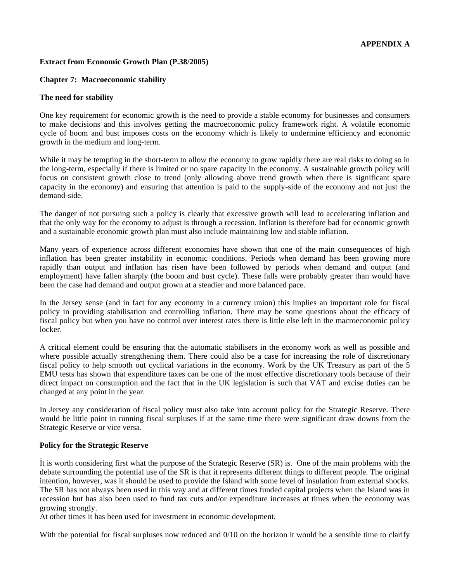#### **Extract from Economic Growth Plan (P.38/2005)**

#### **Chapter 7: Macroeconomic stability**

#### **The need for stability**

One key requirement for economic growth is the need to provide a stable economy for businesses and consumers to make decisions and this involves getting the macroeconomic policy framework right. A volatile economic cycle of boom and bust imposes costs on the economy which is likely to undermine efficiency and economic growth in the medium and long-term.

While it may be tempting in the short-term to allow the economy to grow rapidly there are real risks to doing so in the long-term, especially if there is limited or no spare capacity in the economy. A sustainable growth policy will focus on consistent growth close to trend (only allowing above trend growth when there is significant spare capacity in the economy) and ensuring that attention is paid to the supply-side of the economy and not just the demand-side.

The danger of not pursuing such a policy is clearly that excessive growth will lead to accelerating inflation and that the only way for the economy to adjust is through a recession. Inflation is therefore bad for economic growth and a sustainable economic growth plan must also include maintaining low and stable inflation.

Many years of experience across different economies have shown that one of the main consequences of high inflation has been greater instability in economic conditions. Periods when demand has been growing more rapidly than output and inflation has risen have been followed by periods when demand and output (and employment) have fallen sharply (the boom and bust cycle). These falls were probably greater than would have been the case had demand and output grown at a steadier and more balanced pace.

In the Jersey sense (and in fact for any economy in a currency union) this implies an important role for fiscal policy in providing stabilisation and controlling inflation. There may be some questions about the efficacy of fiscal policy but when you have no control over interest rates there is little else left in the macroeconomic policy locker.

A critical element could be ensuring that the automatic stabilisers in the economy work as well as possible and where possible actually strengthening them. There could also be a case for increasing the role of discretionary fiscal policy to help smooth out cyclical variations in the economy. Work by the UK Treasury as part of the 5 EMU tests has shown that expenditure taxes can be one of the most effective discretionary tools because of their direct impact on consumption and the fact that in the UK legislation is such that VAT and excise duties can be changed at any point in the year.

In Jersey any consideration of fiscal policy must also take into account policy for the Strategic Reserve. There would be little point in running fiscal surpluses if at the same time there were significant draw downs from the Strategic Reserve or vice versa.

#### **Policy for the Strategic Reserve**

It is worth considering first what the purpose of the Strategic Reserve (SR) is. One of the main problems with the debate surrounding the potential use of the SR is that it represents different things to different people. The original intention, however, was it should be used to provide the Island with some level of insulation from external shocks. The SR has not always been used in this way and at different times funded capital projects when the Island was in recession but has also been used to fund tax cuts and/or expenditure increases at times when the economy was growing strongly.

At other times it has been used for investment in economic development.

With the potential for fiscal surpluses now reduced and  $0/10$  on the horizon it would be a sensible time to clarify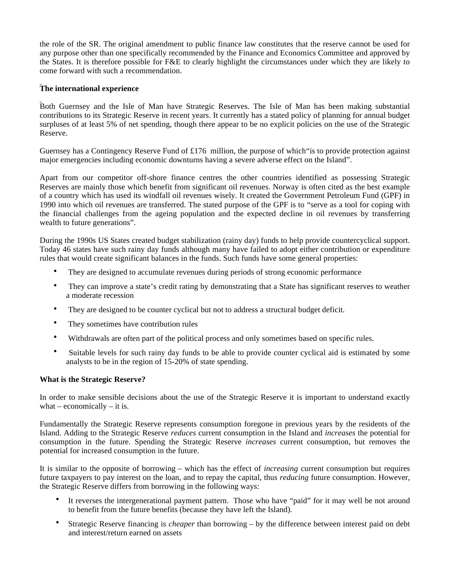the role of the SR. The original amendment to public finance law constitutes that the reserve cannot be used for any purpose other than one specifically recommended by the Finance and Economics Committee and approved by the States. It is therefore possible for F&E to clearly highlight the circumstances under which they are likely to come forward with such a recommendation.

# **The international experience**

Both Guernsey and the Isle of Man have Strategic Reserves. The Isle of Man has been making substantial contributions to its Strategic Reserve in recent years. It currently has a stated policy of planning for annual budget surpluses of at least 5% of net spending, though there appear to be no explicit policies on the use of the Strategic Reserve.

Guernsey has a Contingency Reserve Fund of £176 million, the purpose of which is to provide protection against major emergencies including economic downturns having a severe adverse effect on the Island".

Apart from our competitor off-shore finance centres the other countries identified as possessing Strategic Reserves are mainly those which benefit from significant oil revenues. Norway is often cited as the best example of a country which has used its windfall oil revenues wisely. It created the Government Petroleum Fund (GPF) in 1990 into which oil revenues are transferred. The stated purpose of the GPF is to "serve as a tool for coping with the financial challenges from the ageing population and the expected decline in oil revenues by transferring wealth to future generations".

During the 1990s US States created budget stabilization (rainy day) funds to help provide countercyclical support. Today 46 states have such rainy day funds although many have failed to adopt either contribution or expenditure rules that would create significant balances in the funds. Such funds have some general properties:

- They are designed to accumulate revenues during periods of strong economic performance
- They can improve a state's credit rating by demonstrating that a State has significant reserves to weather a moderate recession
- They are designed to be counter cyclical but not to address a structural budget deficit.
- They sometimes have contribution rules
- Withdrawals are often part of the political process and only sometimes based on specific rules.
- Suitable levels for such rainy day funds to be able to provide counter cyclical aid is estimated by some analysts to be in the region of 15-20% of state spending.

## **What is the Strategic Reserve?**

In order to make sensible decisions about the use of the Strategic Reserve it is important to understand exactly what – economically – it is.

Fundamentally the Strategic Reserve represents consumption foregone in previous years by the residents of the Island. Adding to the Strategic Reserve *reduces* current consumption in the Island and *increases* the potential for consumption in the future. Spending the Strategic Reserve *increases* current consumption, but removes the potential for increased consumption in the future.

It is similar to the opposite of borrowing – which has the effect of *increasing* current consumption but requires future taxpayers to pay interest on the loan, and to repay the capital, thus *reducing* future consumption. However, the Strategic Reserve differs from borrowing in the following ways:

- It reverses the intergenerational payment pattern. Those who have "paid" for it may well be not around to benefit from the future benefits (because they have left the Island).
- Strategic Reserve financing is *cheaper* than borrowing by the difference between interest paid on debt and interest/return earned on assets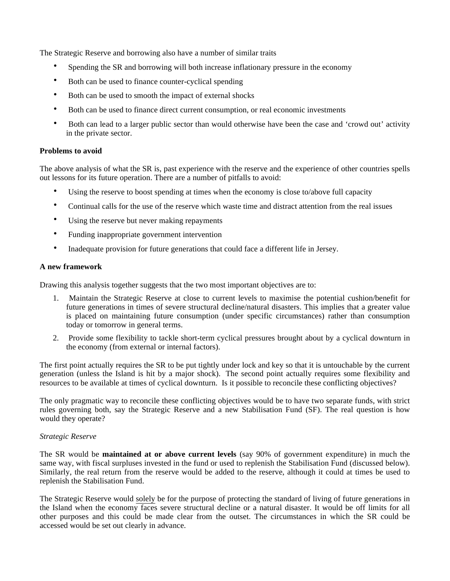The Strategic Reserve and borrowing also have a number of similar traits

- Spending the SR and borrowing will both increase inflationary pressure in the economy
- Both can be used to finance counter-cyclical spending
- Both can be used to smooth the impact of external shocks
- Both can be used to finance direct current consumption, or real economic investments
- Both can lead to a larger public sector than would otherwise have been the case and 'crowd out' activity in the private sector.

#### **Problems to avoid**

The above analysis of what the SR is, past experience with the reserve and the experience of other countries spells out lessons for its future operation. There are a number of pitfalls to avoid:

- Using the reserve to boost spending at times when the economy is close to/above full capacity
- Continual calls for the use of the reserve which waste time and distract attention from the real issues
- Using the reserve but never making repayments
- Funding inappropriate government intervention
- Inadequate provision for future generations that could face a different life in Jersey.

#### **A new framework**

Drawing this analysis together suggests that the two most important objectives are to:

- 1. Maintain the Strategic Reserve at close to current levels to maximise the potential cushion/benefit for future generations in times of severe structural decline/natural disasters. This implies that a greater value is placed on maintaining future consumption (under specific circumstances) rather than consumption today or tomorrow in general terms.
- 2. Provide some flexibility to tackle short-term cyclical pressures brought about by a cyclical downturn in the economy (from external or internal factors).

The first point actually requires the SR to be put tightly under lock and key so that it is untouchable by the current generation (unless the Island is hit by a major shock). The second point actually requires some flexibility and resources to be available at times of cyclical downturn. Is it possible to reconcile these conflicting objectives?

The only pragmatic way to reconcile these conflicting objectives would be to have two separate funds, with strict rules governing both, say the Strategic Reserve and a new Stabilisation Fund (SF). The real question is how would they operate?

#### *Strategic Reserve*

The SR would be **maintained at or above current levels** (say 90% of government expenditure) in much the same way, with fiscal surpluses invested in the fund or used to replenish the Stabilisation Fund (discussed below). Similarly, the real return from the reserve would be added to the reserve, although it could at times be used to replenish the Stabilisation Fund.

The Strategic Reserve would solely be for the purpose of protecting the standard of living of future generations in the Island when the economy faces severe structural decline or a natural disaster. It would be off limits for all other purposes and this could be made clear from the outset. The circumstances in which the SR could be accessed would be set out clearly in advance.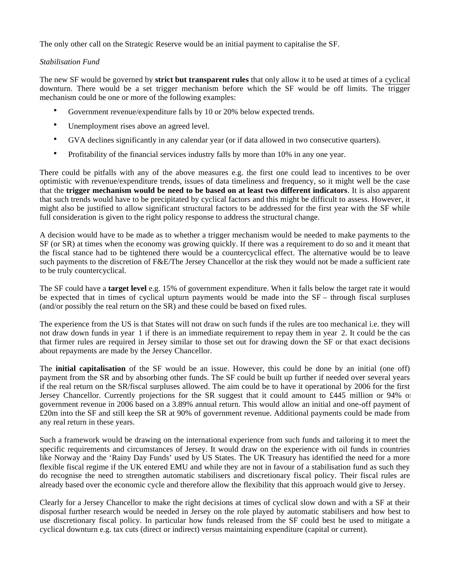The only other call on the Strategic Reserve would be an initial payment to capitalise the SF.

## *Stabilisation Fund*

The new SF would be governed by **strict but transparent rules** that only allow it to be used at times of a cyclical downturn. There would be a set trigger mechanism before which the SF would be off limits. The trigger mechanism could be one or more of the following examples:

- Government revenue/expenditure falls by 10 or 20% below expected trends.
- Unemployment rises above an agreed level.
- GVA declines significantly in any calendar year (or if data allowed in two consecutive quarters).
- Profitability of the financial services industry falls by more than 10% in any one year.

There could be pitfalls with any of the above measures e.g. the first one could lead to incentives to be over optimistic with revenue/expenditure trends, issues of data timeliness and frequency, so it might well be the case that the **trigger mechanism would be need to be based on at least two different indicators**. It is also apparent that such trends would have to be precipitated by cyclical factors and this might be difficult to assess. However, it might also be justified to allow significant structural factors to be addressed for the first year with the SF while full consideration is given to the right policy response to address the structural change.

A decision would have to be made as to whether a trigger mechanism would be needed to make payments to the SF (or SR) at times when the economy was growing quickly. If there was a requirement to do so and it meant that the fiscal stance had to be tightened there would be a countercyclical effect. The alternative would be to leave such payments to the discretion of F&E/The Jersey Chancellor at the risk they would not be made a sufficient rate to be truly countercyclical.

The SF could have a **target level** e.g. 15% of government expenditure. When it falls below the target rate it would be expected that in times of cyclical upturn payments would be made into the SF – through fiscal surpluses (and/or possibly the real return on the SR) and these could be based on fixed rules.

The experience from the US is that States will not draw on such funds if the rules are too mechanical i.e. they will not draw down funds in year 1 if there is an immediate requirement to repay them in year 2. It could be the cas that firmer rules are required in Jersey similar to those set out for drawing down the SF or that exact decisions about repayments are made by the Jersey Chancellor.

The **initial capitalisation** of the SF would be an issue. However, this could be done by an initial (one off) payment from the SR and by absorbing other funds. The SF could be built up further if needed over several years if the real return on the SR/fiscal surpluses allowed. The aim could be to have it operational by 2006 for the first Jersey Chancellor. Currently projections for the SR suggest that it could amount to £445 million or 94% of government revenue in 2006 based on a 3.89% annual return. This would allow an initial and one-off payment of £20m into the SF and still keep the SR at 90% of government revenue. Additional payments could be made from any real return in these years.

Such a framework would be drawing on the international experience from such funds and tailoring it to meet the specific requirements and circumstances of Jersey. It would draw on the experience with oil funds in countries like Norway and the 'Rainy Day Funds' used by US States. The UK Treasury has identified the need for a more flexible fiscal regime if the UK entered EMU and while they are not in favour of a stabilisation fund as such they do recognise the need to strengthen automatic stabilisers and discretionary fiscal policy. Their fiscal rules are already based over the economic cycle and therefore allow the flexibility that this approach would give to Jersey.

Clearly for a Jersey Chancellor to make the right decisions at times of cyclical slow down and with a SF at their disposal further research would be needed in Jersey on the role played by automatic stabilisers and how best to use discretionary fiscal policy. In particular how funds released from the SF could best be used to mitigate a cyclical downturn e.g. tax cuts (direct or indirect) versus maintaining expenditure (capital or current).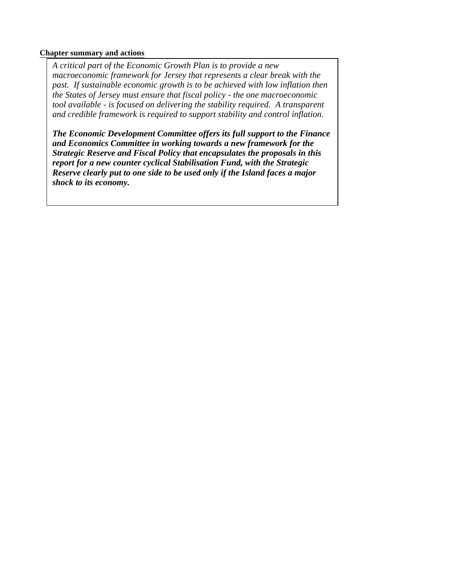## **Chapter summary and actions**

*A critical part of the Economic Growth Plan is to provide a new macroeconomic framework for Jersey that represents a clear break with the past. If sustainable economic growth is to be achieved with low inflation then the States of Jersey must ensure that fiscal policy - the one macroeconomic tool available - is focused on delivering the stability required. A transparent and credible framework is required to support stability and control inflation.*

*The Economic Development Committee offers its full support to the Finance and Economics Committee in working towards a new framework for the Strategic Reserve and Fiscal Policy that encapsulates the proposals in this report for a new counter cyclical Stabilisation Fund, with the Strategic Reserve clearly put to one side to be used only if the Island faces a major shock to its economy.*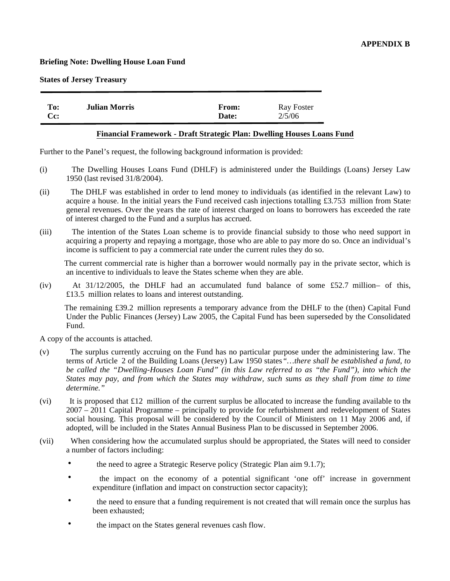#### **Briefing Note: Dwelling House Loan Fund**

**States of Jersey Treasury**

| To:<br><b>Julian Morris</b><br>Cc: | <b>From:</b><br>Date: | <b>Ray Foster</b><br>2/5/06 |
|------------------------------------|-----------------------|-----------------------------|
|------------------------------------|-----------------------|-----------------------------|

#### **Financial Framework - Draft Strategic Plan: Dwelling Houses Loans Fund**

Further to the Panel's request, the following background information is provided:

- (i) The Dwelling Houses Loans Fund (DHLF) is administered under the Buildings (Loans) Jersey Law 1950 (last revised 31/8/2004).
- (ii) The DHLF was established in order to lend money to individuals (as identified in the relevant Law) to acquire a house. In the initial years the Fund received cash injections totalling  $\pounds$ 3.753 million from States general revenues. Over the years the rate of interest charged on loans to borrowers has exceeded the rate of interest charged to the Fund and a surplus has accrued.
- (iii) The intention of the States Loan scheme is to provide financial subsidy to those who need support in acquiring a property and repaying a mortgage, those who are able to pay more do so. Once an individual's income is sufficient to pay a commercial rate under the current rules they do so.

 The current commercial rate is higher than a borrower would normally pay in the private sector, which is an incentive to individuals to leave the States scheme when they are able.

(iv) At  $31/12/2005$ , the DHLF had an accumulated fund balance of some £52.7 million- of this, £13.5 million relates to loans and interest outstanding.

 The remaining £39.2 million represents a temporary advance from the DHLF to the (then) Capital Fund. Under the Public Finances (Jersey) Law 2005, the Capital Fund has been superseded by the Consolidated Fund.

A copy of the accounts is attached.

- (v) The surplus currently accruing on the Fund has no particular purpose under the administering law. The terms of Article 2 of the Building Loans (Jersey) Law 1950 states*"…there shall be established a fund, to be called the "Dwelling-Houses Loan Fund" (in this Law referred to as "the Fund"), into which the States may pay, and from which the States may withdraw, such sums as they shall from time to time determine."*
- (vi) It is proposed that £12 million of the current surplus be allocated to increase the funding available to the 2007 – 2011 Capital Programme – principally to provide for refurbishment and redevelopment of States social housing. This proposal will be considered by the Council of Ministers on 11 May 2006 and, if adopted, will be included in the States Annual Business Plan to be discussed in September 2006.
- (vii) When considering how the accumulated surplus should be appropriated, the States will need to consider a number of factors including:
	- the need to agree a Strategic Reserve policy (Strategic Plan aim 9.1.7);
	- the impact on the economy of a potential significant 'one off' increase in government expenditure (inflation and impact on construction sector capacity);
	- the need to ensure that a funding requirement is not created that will remain once the surplus has been exhausted;
	- the impact on the States general revenues cash flow.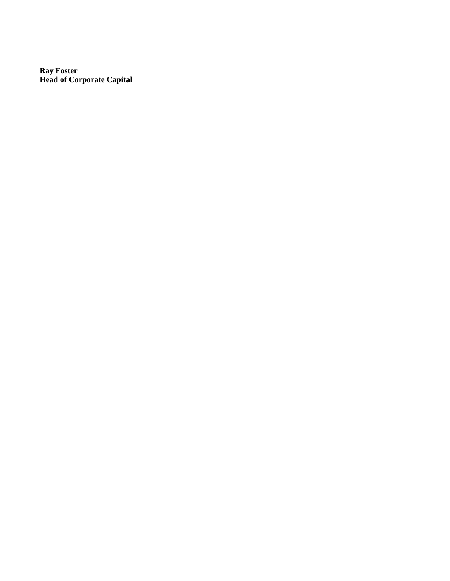**Ray Foster Head of Corporate Capital**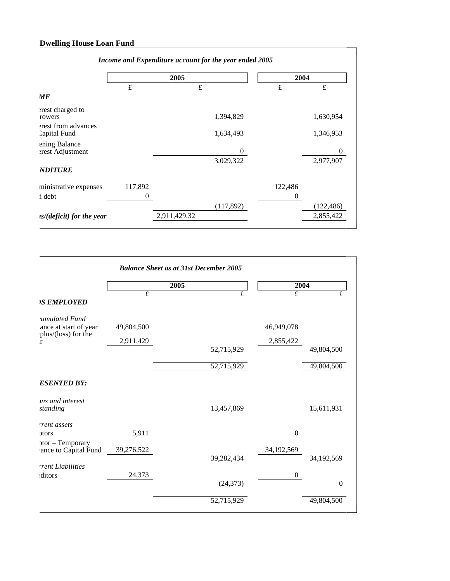# **Dwelling House Loan Fund**

|                                      |                  | 2005         | 2004      |            |
|--------------------------------------|------------------|--------------|-----------|------------|
|                                      | $\mathbf f$      | $\pounds$    | $\pounds$ | $\pounds$  |
| MЕ                                   |                  |              |           |            |
| erest charged to<br>rowers           |                  | 1,394,829    |           | 1,630,954  |
| erest from advances<br>Capital Fund  |                  | 1,634,493    |           | 1,346,953  |
| ening Balance<br>erest Adjustment    |                  | 0            |           |            |
|                                      |                  | 3,029,322    |           | 2,977,907  |
| <b>NDITURE</b>                       |                  |              |           |            |
| ministrative expenses                | 117,892          |              | 122,486   |            |
| 1 debt                               | $\boldsymbol{0}$ |              | $\theta$  |            |
|                                      |                  | (117,892)    |           | (122, 486) |
| $\frac{1}{s}$ (deficit) for the year |                  | 2,911,429.32 |           | 2,855,422  |

|                                            |                | 2005           | 2004             |                  |
|--------------------------------------------|----------------|----------------|------------------|------------------|
| <b>S EMPLOYED</b>                          | $\overline{f}$ | $\overline{f}$ | $\overline{f}$   | $\pounds$        |
| umulated Fund<br>ance at start of year     | 49,804,500     |                | 46,949,078       |                  |
| plus/(loss) for the<br>$\mathbf{r}$        | 2,911,429      |                | 2,855,422        |                  |
|                                            |                | 52,715,929     |                  | 49,804,500       |
|                                            |                | 52,715,929     |                  | 49,804,500       |
| <b>ESENTED BY:</b>                         |                |                |                  |                  |
| <i>uns and interest</i><br>standing        |                | 13,457,869     |                  | 15,611,931       |
| rrent assets                               |                |                |                  |                  |
| <b>ptors</b>                               | 5,911          |                | $\boldsymbol{0}$ |                  |
| $otor - Temporary$<br>ance to Capital Fund | 39,276,522     | 39,282,434     | 34,192,569       | 34,192,569       |
| rrent Liabilities                          |                |                |                  |                  |
| ditors                                     | 24,373         |                | $\mathbf{0}$     |                  |
|                                            |                | (24, 373)      |                  | $\boldsymbol{0}$ |
|                                            |                | 52,715,929     |                  | 49,804,500       |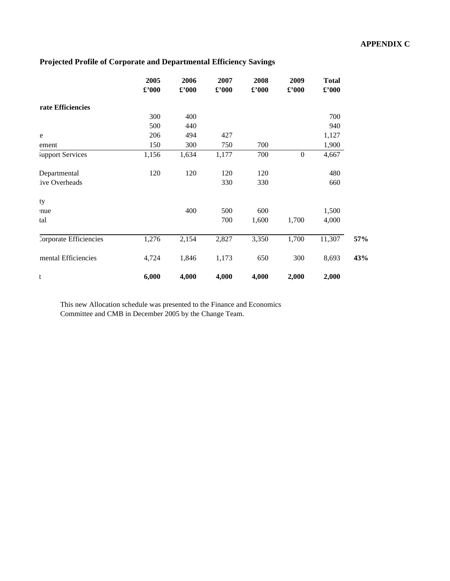# **Projected Profile of Corporate and Departmental Efficiency Savings**

|                         | 2005           | 2006           | 2007                        | 2008           | 2009           | <b>Total</b>                 |     |
|-------------------------|----------------|----------------|-----------------------------|----------------|----------------|------------------------------|-----|
|                         | $\pounds$ '000 | $\pounds$ '000 | $\pmb{\pounds}^{\prime}000$ | $\pounds$ '000 | $\pounds$ '000 | $\pmb{\pounds}^{\bullet}000$ |     |
| rate Efficiencies       |                |                |                             |                |                |                              |     |
|                         | 300            | 400            |                             |                |                | 700                          |     |
|                         | 500            | 440            |                             |                |                | 940                          |     |
| e                       | 206            | 494            | 427                         |                |                | 1,127                        |     |
| ement                   | 150            | 300            | 750                         | 700            |                | 1,900                        |     |
| <b>Support Services</b> | 1,156          | 1,634          | 1,177                       | 700            | $\mathbf{0}$   | 4,667                        |     |
| Departmental            | 120            | 120            | 120                         | 120            |                | 480                          |     |
| ive Overheads           |                |                | 330                         | 330            |                | 660                          |     |
| ty                      |                |                |                             |                |                |                              |     |
| nue                     |                | 400            | 500                         | 600            |                | 1,500                        |     |
| tal                     |                |                | 700                         | 1,600          | 1,700          | 4,000                        |     |
| Corporate Efficiencies  | 1,276          | 2,154          | 2,827                       | 3,350          | 1,700          | 11,307                       | 57% |
| mental Efficiencies     | 4,724          | 1,846          | 1,173                       | 650            | 300            | 8,693                        | 43% |
| t                       | 6,000          | 4,000          | 4,000                       | 4,000          | 2,000          | 2,000                        |     |

This new Allocation schedule was presented to the Finance and Economics Committee and CMB in December 2005 by the Change Team.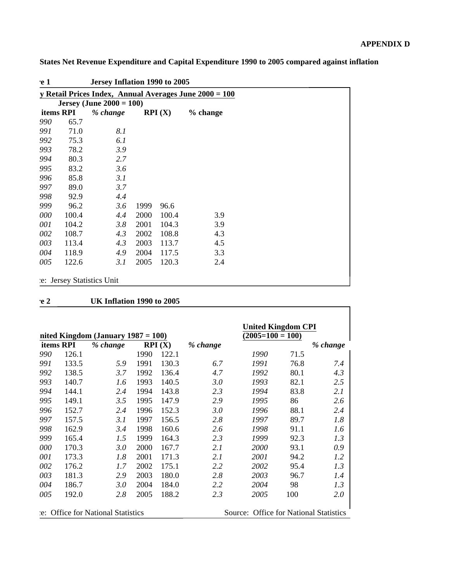**States Net Revenue Expenditure and Capital Expenditure 1990 to 2005 compared against inflation**

|     |           | <b>Jersey</b> ( <b>June 2000 = 100</b> ) |      |        |          |  |
|-----|-----------|------------------------------------------|------|--------|----------|--|
|     | items RPI | % change                                 |      | RPI(X) | % change |  |
| 990 | 65.7      |                                          |      |        |          |  |
| 991 | 71.0      | 8.1                                      |      |        |          |  |
| 992 | 75.3      | 6.1                                      |      |        |          |  |
| 993 | 78.2      | 3.9                                      |      |        |          |  |
| 994 | 80.3      | 2.7                                      |      |        |          |  |
| 995 | 83.2      | 3.6                                      |      |        |          |  |
| 996 | 85.8      | 3.1                                      |      |        |          |  |
| 997 | 89.0      | 3.7                                      |      |        |          |  |
| 998 | 92.9      | 4.4                                      |      |        |          |  |
| 999 | 96.2      | 3.6                                      | 1999 | 96.6   |          |  |
| 000 | 100.4     | 4.4                                      | 2000 | 100.4  | 3.9      |  |
| 001 | 104.2     | 3.8                                      | 2001 | 104.3  | 3.9      |  |
| 002 | 108.7     | 4.3                                      | 2002 | 108.8  | 4.3      |  |
| 003 | 113.4     | 4.3                                      | 2003 | 113.7  | 4.5      |  |
| 004 | 118.9     | 4.9                                      | 2004 | 117.5  | 3.3      |  |
| 005 | 122.6     | 3.1                                      | 2005 | 120.3  | 2.4      |  |

| •е 1 | Jersey Inflation 1990 to 2005 |  |
|------|-------------------------------|--|
|      |                               |  |

| $\cdot$ e 2 | UK Inflation 1990 to 2005 |
|-------------|---------------------------|

|     |           | nited Kingdom (January 1987 = 100) |      |        | <b>United Kingdom CPI</b><br>$(2005=100=100)$ |             |      |          |
|-----|-----------|------------------------------------|------|--------|-----------------------------------------------|-------------|------|----------|
|     | items RPI | % change                           |      | RPI(X) | % change                                      |             |      | % change |
| 990 | 126.1     |                                    | 1990 | 122.1  |                                               | 1990        | 71.5 |          |
| 991 | 133.5     | 5.9                                | 1991 | 130.3  | 6.7                                           | 1991        | 76.8 | 7.4      |
| 992 | 138.5     | 3.7                                | 1992 | 136.4  | 4.7                                           | 1992        | 80.1 | 4.3      |
| 993 | 140.7     | 1.6                                | 1993 | 140.5  | 3.0                                           | 1993        | 82.1 | 2.5      |
| 994 | 144.1     | 2.4                                | 1994 | 143.8  | 2.3                                           | 1994        | 83.8 | 2.1      |
| 995 | 149.1     | 3.5                                | 1995 | 147.9  | 2.9                                           | 1995        | 86   | 2.6      |
| 996 | 152.7     | 2.4                                | 1996 | 152.3  | 3.0                                           | 1996        | 88.1 | 2.4      |
| 997 | 157.5     | 3.1                                | 1997 | 156.5  | 2.8                                           | 1997        | 89.7 | 1.8      |
| 998 | 162.9     | 3.4                                | 1998 | 160.6  | 2.6                                           | 1998        | 91.1 | 1.6      |
| 999 | 165.4     | 1.5                                | 1999 | 164.3  | 2.3                                           | 1999        | 92.3 | 1.3      |
| 000 | 170.3     | 3.0                                | 2000 | 167.7  | 2.1                                           | <b>2000</b> | 93.1 | 0.9      |
| 001 | 173.3     | 1.8                                | 2001 | 171.3  | 2.1                                           | 2001        | 94.2 | 1.2      |
| 002 | 176.2     | 1.7                                | 2002 | 175.1  | 2.2                                           | 2002        | 95.4 | 1.3      |
| 003 | 181.3     | 2.9                                | 2003 | 180.0  | 2.8                                           | 2003        | 96.7 | 1.4      |
| 004 | 186.7     | 3.0                                | 2004 | 184.0  | 2.2                                           | 2004        | 98   | 1.3      |
| 005 | 192.0     | 2.8                                | 2005 | 188.2  | 2.3                                           | 2005        | 100  | 2.0      |